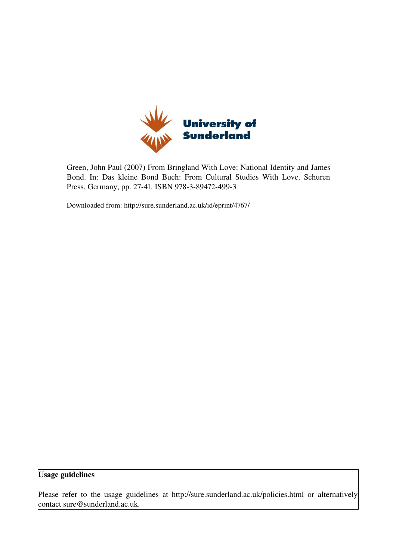

Green, John Paul (2007) From Bringland With Love: National Identity and James Bond. In: Das kleine Bond Buch: From Cultural Studies With Love. Schuren Press, Germany, pp. 27-41. ISBN 978-3-89472-499-3

Downloaded from: http://sure.sunderland.ac.uk/id/eprint/4767/

Usage guidelines

Please refer to the usage guidelines at http://sure.sunderland.ac.uk/policies.html or alternatively contact sure@sunderland.ac.uk.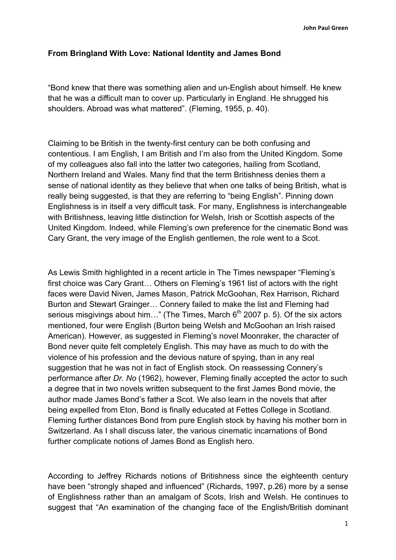## **From Bringland With Love: National Identity and James Bond**

"Bond knew that there was something alien and un-English about himself. He knew that he was a difficult man to cover up. Particularly in England. He shrugged his shoulders. Abroad was what mattered". (Fleming, 1955, p. 40).

Claiming to be British in the twenty-first century can be both confusing and contentious. I am English, I am British and I'm also from the United Kingdom. Some of my colleagues also fall into the latter two categories, hailing from Scotland, Northern Ireland and Wales. Many find that the term Britishness denies them a sense of national identity as they believe that when one talks of being British, what is really being suggested, is that they are referring to "being English". Pinning down Englishness is in itself a very difficult task. For many, Englishness is interchangeable with Britishness, leaving little distinction for Welsh, Irish or Scottish aspects of the United Kingdom. Indeed, while Fleming's own preference for the cinematic Bond was Cary Grant, the very image of the English gentlemen, the role went to a Scot.

As Lewis Smith highlighted in a recent article in The Times newspaper "Fleming's first choice was Cary Grant… Others on Fleming's 1961 list of actors with the right faces were David Niven, James Mason, Patrick McGoohan, Rex Harrison, Richard Burton and Stewart Grainger… Connery failed to make the list and Fleming had serious misgivings about him..." (The Times, March  $6<sup>th</sup>$  2007 p. 5). Of the six actors mentioned, four were English (Burton being Welsh and McGoohan an Irish raised American). However, as suggested in Fleming's novel Moonraker, the character of Bond never quite felt completely English. This may have as much to do with the violence of his profession and the devious nature of spying, than in any real suggestion that he was not in fact of English stock. On reassessing Connery's performance after *Dr. No* (1962), however, Fleming finally accepted the actor to such a degree that in two novels written subsequent to the first James Bond movie, the author made James Bond's father a Scot. We also learn in the novels that after being expelled from Eton, Bond is finally educated at Fettes College in Scotland. Fleming further distances Bond from pure English stock by having his mother born in Switzerland. As I shall discuss later, the various cinematic incarnations of Bond further complicate notions of James Bond as English hero.

According to Jeffrey Richards notions of Britishness since the eighteenth century have been "strongly shaped and influenced" (Richards, 1997, p.26) more by a sense of Englishness rather than an amalgam of Scots, Irish and Welsh. He continues to suggest that "An examination of the changing face of the English/British dominant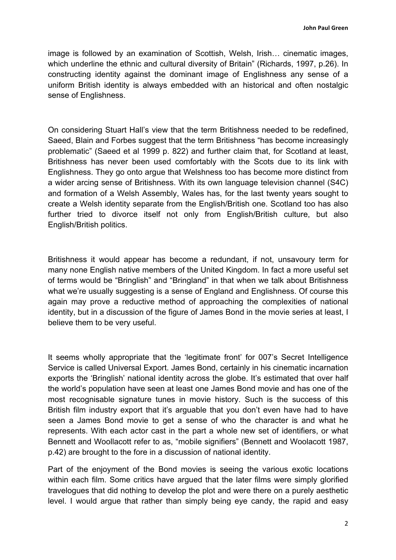image is followed by an examination of Scottish, Welsh, Irish… cinematic images, which underline the ethnic and cultural diversity of Britain" (Richards, 1997, p.26). In constructing identity against the dominant image of Englishness any sense of a uniform British identity is always embedded with an historical and often nostalgic sense of Englishness.

On considering Stuart Hall's view that the term Britishness needed to be redefined, Saeed, Blain and Forbes suggest that the term Britishness "has become increasingly problematic" (Saeed et al 1999 p. 822) and further claim that, for Scotland at least, Britishness has never been used comfortably with the Scots due to its link with Englishness. They go onto argue that Welshness too has become more distinct from a wider arcing sense of Britishness. With its own language television channel (S4C) and formation of a Welsh Assembly, Wales has, for the last twenty years sought to create a Welsh identity separate from the English/British one. Scotland too has also further tried to divorce itself not only from English/British culture, but also English/British politics.

Britishness it would appear has become a redundant, if not, unsavoury term for many none English native members of the United Kingdom. In fact a more useful set of terms would be "Bringlish" and "Bringland" in that when we talk about Britishness what we're usually suggesting is a sense of England and Englishness. Of course this again may prove a reductive method of approaching the complexities of national identity, but in a discussion of the figure of James Bond in the movie series at least, I believe them to be very useful.

It seems wholly appropriate that the 'legitimate front' for 007's Secret Intelligence Service is called Universal Export. James Bond, certainly in his cinematic incarnation exports the 'Bringlish' national identity across the globe. It's estimated that over half the world's population have seen at least one James Bond movie and has one of the most recognisable signature tunes in movie history. Such is the success of this British film industry export that it's arguable that you don't even have had to have seen a James Bond movie to get a sense of who the character is and what he represents. With each actor cast in the part a whole new set of identifiers, or what Bennett and Woollacott refer to as, "mobile signifiers" (Bennett and Woolacott 1987, p.42) are brought to the fore in a discussion of national identity.

Part of the enjoyment of the Bond movies is seeing the various exotic locations within each film. Some critics have argued that the later films were simply glorified travelogues that did nothing to develop the plot and were there on a purely aesthetic level. I would argue that rather than simply being eye candy, the rapid and easy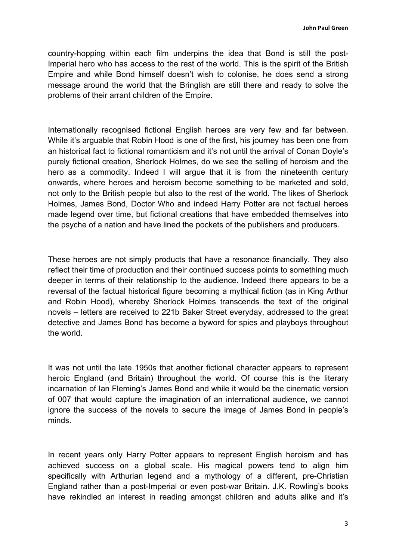country-hopping within each film underpins the idea that Bond is still the post-Imperial hero who has access to the rest of the world. This is the spirit of the British Empire and while Bond himself doesn't wish to colonise, he does send a strong message around the world that the Bringlish are still there and ready to solve the problems of their arrant children of the Empire.

Internationally recognised fictional English heroes are very few and far between. While it's arguable that Robin Hood is one of the first, his journey has been one from an historical fact to fictional romanticism and it's not until the arrival of Conan Doyle's purely fictional creation, Sherlock Holmes, do we see the selling of heroism and the hero as a commodity. Indeed I will argue that it is from the nineteenth century onwards, where heroes and heroism become something to be marketed and sold, not only to the British people but also to the rest of the world. The likes of Sherlock Holmes, James Bond, Doctor Who and indeed Harry Potter are not factual heroes made legend over time, but fictional creations that have embedded themselves into the psyche of a nation and have lined the pockets of the publishers and producers.

These heroes are not simply products that have a resonance financially. They also reflect their time of production and their continued success points to something much deeper in terms of their relationship to the audience. Indeed there appears to be a reversal of the factual historical figure becoming a mythical fiction (as in King Arthur and Robin Hood), whereby Sherlock Holmes transcends the text of the original novels – letters are received to 221b Baker Street everyday, addressed to the great detective and James Bond has become a byword for spies and playboys throughout the world.

It was not until the late 1950s that another fictional character appears to represent heroic England (and Britain) throughout the world. Of course this is the literary incarnation of Ian Fleming's James Bond and while it would be the cinematic version of 007 that would capture the imagination of an international audience, we cannot ignore the success of the novels to secure the image of James Bond in people's minds.

In recent years only Harry Potter appears to represent English heroism and has achieved success on a global scale. His magical powers tend to align him specifically with Arthurian legend and a mythology of a different, pre-Christian England rather than a post-Imperial or even post-war Britain. J.K. Rowling's books have rekindled an interest in reading amongst children and adults alike and it's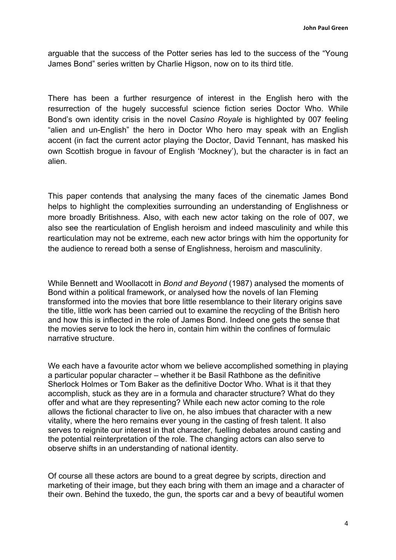arguable that the success of the Potter series has led to the success of the "Young James Bond" series written by Charlie Higson, now on to its third title.

There has been a further resurgence of interest in the English hero with the resurrection of the hugely successful science fiction series Doctor Who. While Bond's own identity crisis in the novel *Casino Royale* is highlighted by 007 feeling "alien and un-English" the hero in Doctor Who hero may speak with an English accent (in fact the current actor playing the Doctor, David Tennant, has masked his own Scottish brogue in favour of English 'Mockney'), but the character is in fact an alien.

This paper contends that analysing the many faces of the cinematic James Bond helps to highlight the complexities surrounding an understanding of Englishness or more broadly Britishness. Also, with each new actor taking on the role of 007, we also see the rearticulation of English heroism and indeed masculinity and while this rearticulation may not be extreme, each new actor brings with him the opportunity for the audience to reread both a sense of Englishness, heroism and masculinity.

While Bennett and Woollacott in *Bond and Beyond* (1987) analysed the moments of Bond within a political framework, or analysed how the novels of Ian Fleming transformed into the movies that bore little resemblance to their literary origins save the title, little work has been carried out to examine the recycling of the British hero and how this is inflected in the role of James Bond. Indeed one gets the sense that the movies serve to lock the hero in, contain him within the confines of formulaic narrative structure.

We each have a favourite actor whom we believe accomplished something in playing a particular popular character – whether it be Basil Rathbone as the definitive Sherlock Holmes or Tom Baker as the definitive Doctor Who. What is it that they accomplish, stuck as they are in a formula and character structure? What do they offer and what are they representing? While each new actor coming to the role allows the fictional character to live on, he also imbues that character with a new vitality, where the hero remains ever young in the casting of fresh talent. It also serves to reignite our interest in that character, fuelling debates around casting and the potential reinterpretation of the role. The changing actors can also serve to observe shifts in an understanding of national identity.

Of course all these actors are bound to a great degree by scripts, direction and marketing of their image, but they each bring with them an image and a character of their own. Behind the tuxedo, the gun, the sports car and a bevy of beautiful women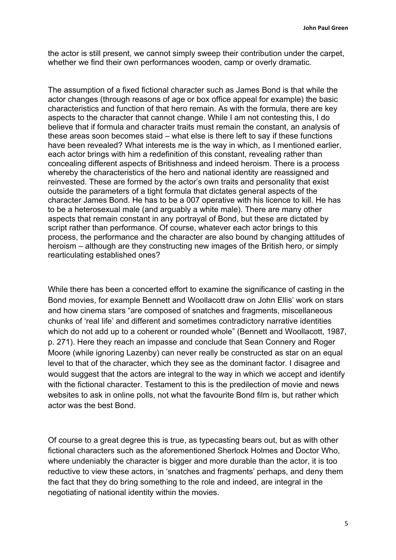the actor is still present, we cannot simply sweep their contribution under the carpet, whether we find their own performances wooden, camp or overly dramatic.

The assumption of a fixed fictional character such as James Bond is that while the actor changes (through reasons of age or box office appeal for example) the basic characteristics and function of that hero remain. As with the formula, there are key aspects to the character that cannot change. While I am not contesting this, I do believe that if formula and character traits must remain the constant, an analysis of these areas soon becomes staid – what else is there left to say if these functions have been revealed? What interests me is the way in which, as I mentioned earlier, each actor brings with him a redefinition of this constant, revealing rather than concealing different aspects of Britishness and indeed heroism. There is a process whereby the characteristics of the hero and national identity are reassigned and reinvested. These are formed by the actor's own traits and personality that exist outside the parameters of a tight formula that dictates general aspects of the character James Bond. He has to be a 007 operative with his licence to kill. He has to be a heterosexual male (and arguably a white male). There are many other aspects that remain constant in any portrayal of Bond, but these are dictated by script rather than performance. Of course, whatever each actor brings to this process, the performance and the character are also bound by changing attitudes of heroism – although are they constructing new images of the British hero, or simply rearticulating established ones?

While there has been a concerted effort to examine the significance of casting in the Bond movies, for example Bennett and Woollacott draw on John Ellis' work on stars and how cinema stars "are composed of snatches and fragments, miscellaneous chunks of 'real life' and different and sometimes contradictory narrative identities which do not add up to a coherent or rounded whole" (Bennett and Woollacott, 1987, p. 271). Here they reach an impasse and conclude that Sean Connery and Roger Moore (while ignoring Lazenby) can never really be constructed as star on an equal level to that of the character, which they see as the dominant factor. I disagree and would suggest that the actors are integral to the way in which we accept and identify with the fictional character. Testament to this is the predilection of movie and news websites to ask in online polls, not what the favourite Bond film is, but rather which actor was the best Bond.

Of course to a great degree this is true, as typecasting bears out, but as with other fictional characters such as the aforementioned Sherlock Holmes and Doctor Who, where undeniably the character is bigger and more durable than the actor, it is too reductive to view these actors, in 'snatches and fragments' perhaps, and deny them the fact that they do bring something to the role and indeed, are integral in the negotiating of national identity within the movies.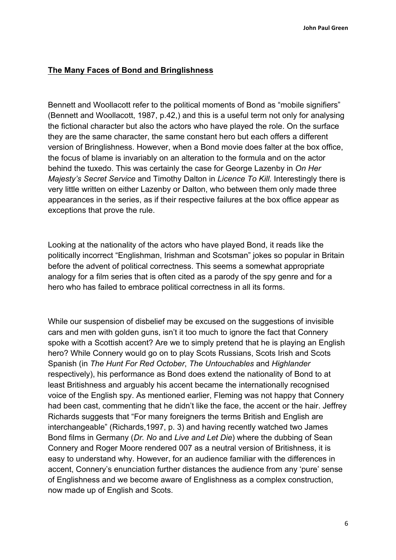### **The Many Faces of Bond and Bringlishness**

Bennett and Woollacott refer to the political moments of Bond as "mobile signifiers" (Bennett and Woollacott, 1987, p.42,) and this is a useful term not only for analysing the fictional character but also the actors who have played the role. On the surface they are the same character, the same constant hero but each offers a different version of Bringlishness. However, when a Bond movie does falter at the box office, the focus of blame is invariably on an alteration to the formula and on the actor behind the tuxedo. This was certainly the case for George Lazenby in *On Her Majesty's Secret Service* and Timothy Dalton in *Licence To Kill*. Interestingly there is very little written on either Lazenby or Dalton, who between them only made three appearances in the series, as if their respective failures at the box office appear as exceptions that prove the rule.

Looking at the nationality of the actors who have played Bond, it reads like the politically incorrect "Englishman, Irishman and Scotsman" jokes so popular in Britain before the advent of political correctness. This seems a somewhat appropriate analogy for a film series that is often cited as a parody of the spy genre and for a hero who has failed to embrace political correctness in all its forms.

While our suspension of disbelief may be excused on the suggestions of invisible cars and men with golden guns, isn't it too much to ignore the fact that Connery spoke with a Scottish accent? Are we to simply pretend that he is playing an English hero? While Connery would go on to play Scots Russians, Scots Irish and Scots Spanish (in *The Hunt For Red October*, *The Untouchables* and *Highlander* respectively), his performance as Bond does extend the nationality of Bond to at least Britishness and arguably his accent became the internationally recognised voice of the English spy. As mentioned earlier, Fleming was not happy that Connery had been cast, commenting that he didn't like the face, the accent or the hair. Jeffrey Richards suggests that "For many foreigners the terms British and English are interchangeable" (Richards,1997, p. 3) and having recently watched two James Bond films in Germany (*Dr. No* and *Live and Let Die*) where the dubbing of Sean Connery and Roger Moore rendered 007 as a neutral version of Britishness, it is easy to understand why. However, for an audience familiar with the differences in accent, Connery's enunciation further distances the audience from any 'pure' sense of Englishness and we become aware of Englishness as a complex construction, now made up of English and Scots.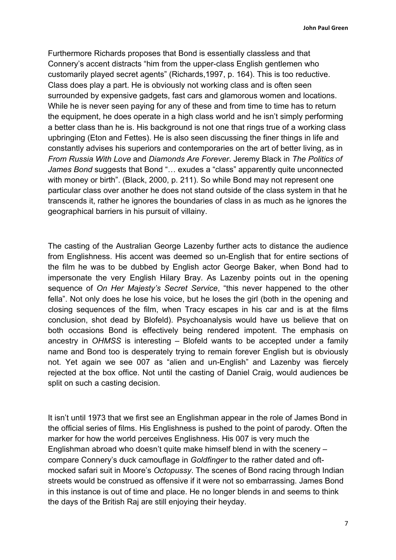Furthermore Richards proposes that Bond is essentially classless and that Connery's accent distracts "him from the upper-class English gentlemen who customarily played secret agents" (Richards,1997, p. 164). This is too reductive. Class does play a part. He is obviously not working class and is often seen surrounded by expensive gadgets, fast cars and glamorous women and locations. While he is never seen paying for any of these and from time to time has to return the equipment, he does operate in a high class world and he isn't simply performing a better class than he is. His background is not one that rings true of a working class upbringing (Eton and Fettes). He is also seen discussing the finer things in life and constantly advises his superiors and contemporaries on the art of better living, as in *From Russia With Love* and *Diamonds Are Forever*. Jeremy Black in *The Politics of James Bond* suggests that Bond "… exudes a "class" apparently quite unconnected with money or birth". (Black, 2000, p. 211). So while Bond may not represent one particular class over another he does not stand outside of the class system in that he transcends it, rather he ignores the boundaries of class in as much as he ignores the geographical barriers in his pursuit of villainy.

The casting of the Australian George Lazenby further acts to distance the audience from Englishness. His accent was deemed so un-English that for entire sections of the film he was to be dubbed by English actor George Baker, when Bond had to impersonate the very English Hilary Bray. As Lazenby points out in the opening sequence of *On Her Majesty's Secret Service*, "this never happened to the other fella". Not only does he lose his voice, but he loses the girl (both in the opening and closing sequences of the film, when Tracy escapes in his car and is at the films conclusion, shot dead by Blofeld). Psychoanalysis would have us believe that on both occasions Bond is effectively being rendered impotent. The emphasis on ancestry in *OHMSS* is interesting – Blofeld wants to be accepted under a family name and Bond too is desperately trying to remain forever English but is obviously not. Yet again we see 007 as "alien and un-English" and Lazenby was fiercely rejected at the box office. Not until the casting of Daniel Craig, would audiences be split on such a casting decision.

It isn't until 1973 that we first see an Englishman appear in the role of James Bond in the official series of films. His Englishness is pushed to the point of parody. Often the marker for how the world perceives Englishness. His 007 is very much the Englishman abroad who doesn't quite make himself blend in with the scenery – compare Connery's duck camouflage in *Goldfinger* to the rather dated and oftmocked safari suit in Moore's *Octopussy*. The scenes of Bond racing through Indian streets would be construed as offensive if it were not so embarrassing. James Bond in this instance is out of time and place. He no longer blends in and seems to think the days of the British Raj are still enjoying their heyday.

7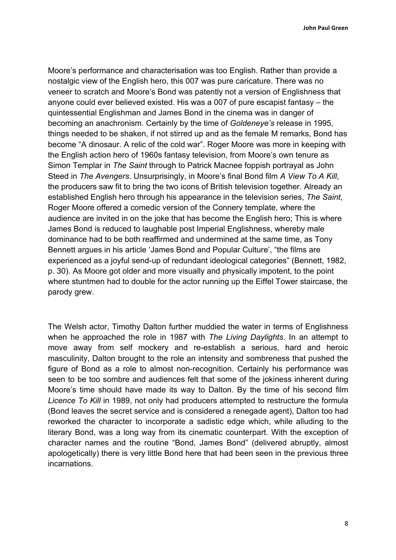Moore's performance and characterisation was too English. Rather than provide a nostalgic view of the English hero, this 007 was pure caricature. There was no veneer to scratch and Moore's Bond was patently not a version of Englishness that anyone could ever believed existed. His was a 007 of pure escapist fantasy – the quintessential Englishman and James Bond in the cinema was in danger of becoming an anachronism. Certainly by the time of *Goldeneye's* release in 1995, things needed to be shaken, if not stirred up and as the female M remarks, Bond has become "A dinosaur. A relic of the cold war". Roger Moore was more in keeping with the English action hero of 1960s fantasy television, from Moore's own tenure as Simon Templar in *The Saint* through to Patrick Macnee foppish portrayal as John Steed in *The Avengers*. Unsurprisingly, in Moore's final Bond film *A View To A Kill*, the producers saw fit to bring the two icons of British television together. Already an established English hero through his appearance in the television series, *The Saint*, Roger Moore offered a comedic version of the Connery template, where the audience are invited in on the joke that has become the English hero; This is where James Bond is reduced to laughable post Imperial Englishness, whereby male dominance had to be both reaffirmed and undermined at the same time, as Tony Bennett argues in his article 'James Bond and Popular Culture', "the films are experienced as a joyful send-up of redundant ideological categories" (Bennett, 1982, p. 30). As Moore got older and more visually and physically impotent, to the point where stuntmen had to double for the actor running up the Eiffel Tower staircase, the parody grew.

The Welsh actor, Timothy Dalton further muddied the water in terms of Englishness when he approached the role in 1987 with *The Living Daylights*. In an attempt to move away from self mockery and re-establish a serious, hard and heroic masculinity, Dalton brought to the role an intensity and sombreness that pushed the figure of Bond as a role to almost non-recognition. Certainly his performance was seen to be too sombre and audiences felt that some of the jokiness inherent during Moore's time should have made its way to Dalton. By the time of his second film *Licence To Kill* in 1989, not only had producers attempted to restructure the formula (Bond leaves the secret service and is considered a renegade agent), Dalton too had reworked the character to incorporate a sadistic edge which, while alluding to the literary Bond, was a long way from its cinematic counterpart. With the exception of character names and the routine "Bond, James Bond" (delivered abruptly, almost apologetically) there is very little Bond here that had been seen in the previous three incarnations.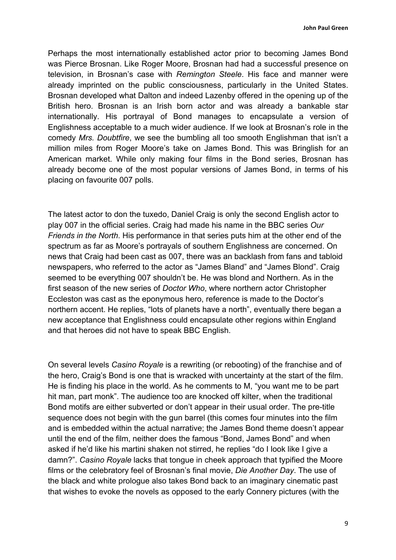**John Paul Green** 

Perhaps the most internationally established actor prior to becoming James Bond was Pierce Brosnan. Like Roger Moore, Brosnan had had a successful presence on television, in Brosnan's case with *Remington Steele*. His face and manner were already imprinted on the public consciousness, particularly in the United States. Brosnan developed what Dalton and indeed Lazenby offered in the opening up of the British hero. Brosnan is an Irish born actor and was already a bankable star internationally. His portrayal of Bond manages to encapsulate a version of Englishness acceptable to a much wider audience. If we look at Brosnan's role in the comedy *Mrs. Doubtfire*, we see the bumbling all too smooth Englishman that isn't a million miles from Roger Moore's take on James Bond. This was Bringlish for an American market. While only making four films in the Bond series, Brosnan has already become one of the most popular versions of James Bond, in terms of his placing on favourite 007 polls.

The latest actor to don the tuxedo, Daniel Craig is only the second English actor to play 007 in the official series. Craig had made his name in the BBC series *Our Friends in the North*. His performance in that series puts him at the other end of the spectrum as far as Moore's portrayals of southern Englishness are concerned. On news that Craig had been cast as 007, there was an backlash from fans and tabloid newspapers, who referred to the actor as "James Bland" and "James Blond". Craig seemed to be everything 007 shouldn't be. He was blond and Northern. As in the first season of the new series of *Doctor Who*, where northern actor Christopher Eccleston was cast as the eponymous hero, reference is made to the Doctor's northern accent. He replies, "lots of planets have a north", eventually there began a new acceptance that Englishness could encapsulate other regions within England and that heroes did not have to speak BBC English.

On several levels *Casino Royale* is a rewriting (or rebooting) of the franchise and of the hero, Craig's Bond is one that is wracked with uncertainty at the start of the film. He is finding his place in the world. As he comments to M, "you want me to be part hit man, part monk". The audience too are knocked off kilter, when the traditional Bond motifs are either subverted or don't appear in their usual order. The pre-title sequence does not begin with the gun barrel (this comes four minutes into the film and is embedded within the actual narrative; the James Bond theme doesn't appear until the end of the film, neither does the famous "Bond, James Bond" and when asked if he'd like his martini shaken not stirred, he replies "do I look like I give a damn?". *Casino Royale* lacks that tongue in cheek approach that typified the Moore films or the celebratory feel of Brosnan's final movie, *Die Another Day*. The use of the black and white prologue also takes Bond back to an imaginary cinematic past that wishes to evoke the novels as opposed to the early Connery pictures (with the

9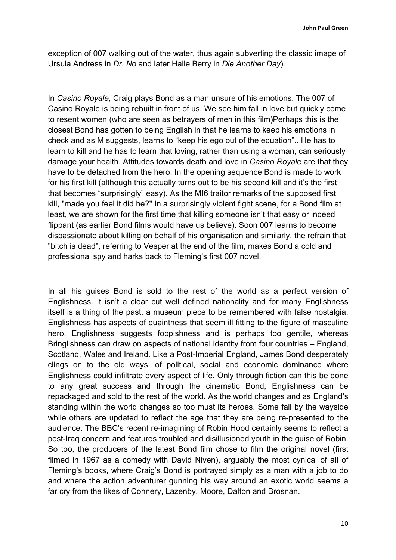exception of 007 walking out of the water, thus again subverting the classic image of Ursula Andress in *Dr. No* and later Halle Berry in *Die Another Day*).

In *Casino Royale*, Craig plays Bond as a man unsure of his emotions. The 007 of Casino Royale is being rebuilt in front of us. We see him fall in love but quickly come to resent women (who are seen as betrayers of men in this film)Perhaps this is the closest Bond has gotten to being English in that he learns to keep his emotions in check and as M suggests, learns to "keep his ego out of the equation".. He has to learn to kill and he has to learn that loving, rather than using a woman, can seriously damage your health. Attitudes towards death and love in *Casino Royale* are that they have to be detached from the hero. In the opening sequence Bond is made to work for his first kill (although this actually turns out to be his second kill and it's the first that becomes "surprisingly" easy). As the MI6 traitor remarks of the supposed first kill, "made you feel it did he?" In a surprisingly violent fight scene, for a Bond film at least, we are shown for the first time that killing someone isn't that easy or indeed flippant (as earlier Bond films would have us believe). Soon 007 learns to become dispassionate about killing on behalf of his organisation and similarly, the refrain that "bitch is dead", referring to Vesper at the end of the film, makes Bond a cold and professional spy and harks back to Fleming's first 007 novel.

In all his guises Bond is sold to the rest of the world as a perfect version of Englishness. It isn't a clear cut well defined nationality and for many Englishness itself is a thing of the past, a museum piece to be remembered with false nostalgia. Englishness has aspects of quaintness that seem ill fitting to the figure of masculine hero. Englishness suggests foppishness and is perhaps too gentile, whereas Bringlishness can draw on aspects of national identity from four countries – England, Scotland, Wales and Ireland. Like a Post-Imperial England, James Bond desperately clings on to the old ways, of political, social and economic dominance where Englishness could infiltrate every aspect of life. Only through fiction can this be done to any great success and through the cinematic Bond, Englishness can be repackaged and sold to the rest of the world. As the world changes and as England's standing within the world changes so too must its heroes. Some fall by the wayside while others are updated to reflect the age that they are being re-presented to the audience. The BBC's recent re-imagining of Robin Hood certainly seems to reflect a post-Iraq concern and features troubled and disillusioned youth in the guise of Robin. So too, the producers of the latest Bond film chose to film the original novel (first filmed in 1967 as a comedy with David Niven), arguably the most cynical of all of Fleming's books, where Craig's Bond is portrayed simply as a man with a job to do and where the action adventurer gunning his way around an exotic world seems a far cry from the likes of Connery, Lazenby, Moore, Dalton and Brosnan.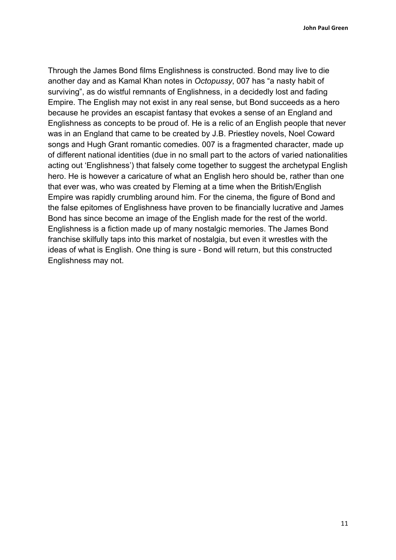**John Paul Green** 

Through the James Bond films Englishness is constructed. Bond may live to die another day and as Kamal Khan notes in *Octopussy*, 007 has "a nasty habit of surviving", as do wistful remnants of Englishness, in a decidedly lost and fading Empire. The English may not exist in any real sense, but Bond succeeds as a hero because he provides an escapist fantasy that evokes a sense of an England and Englishness as concepts to be proud of. He is a relic of an English people that never was in an England that came to be created by J.B. Priestley novels, Noel Coward songs and Hugh Grant romantic comedies. 007 is a fragmented character, made up of different national identities (due in no small part to the actors of varied nationalities acting out 'Englishness') that falsely come together to suggest the archetypal English hero. He is however a caricature of what an English hero should be, rather than one that ever was, who was created by Fleming at a time when the British/English Empire was rapidly crumbling around him. For the cinema, the figure of Bond and the false epitomes of Englishness have proven to be financially lucrative and James Bond has since become an image of the English made for the rest of the world. Englishness is a fiction made up of many nostalgic memories. The James Bond franchise skilfully taps into this market of nostalgia, but even it wrestles with the ideas of what is English. One thing is sure - Bond will return, but this constructed Englishness may not.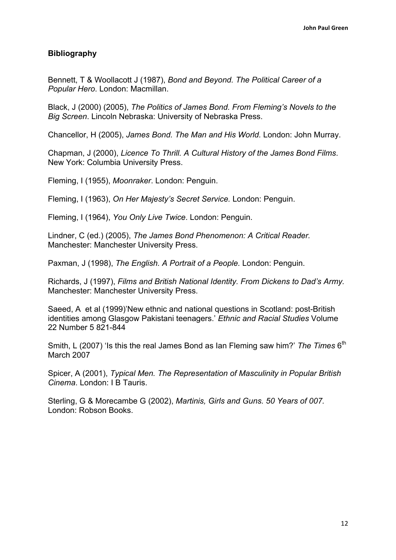### **Bibliography**

Bennett, T & Woollacott J (1987), *Bond and Beyond. The Political Career of a Popular Hero*. London: Macmillan.

Black, J (2000) (2005), *The Politics of James Bond. From Fleming's Novels to the Big Screen*. Lincoln Nebraska: University of Nebraska Press.

Chancellor, H (2005), *James Bond. The Man and His World.* London: John Murray.

Chapman, J (2000), *Licence To Thrill. A Cultural History of the James Bond Films*. New York: Columbia University Press.

Fleming, I (1955), *Moonraker*. London: Penguin.

Fleming, I (1963), *On Her Majesty's Secret Service.* London: Penguin.

Fleming, I (1964), *You Only Live Twice*. London: Penguin.

Lindner, C (ed.) (2005), *The James Bond Phenomenon: A Critical Reader.*  Manchester: Manchester University Press.

Paxman, J (1998), *The English. A Portrait of a People.* London: Penguin.

Richards, J (1997), *Films and British National Identity. From Dickens to Dad's Army.* Manchester: Manchester University Press.

Saeed, A et al (1999)'New ethnic and national questions in Scotland: post-British identities among Glasgow Pakistani teenagers.' *Ethnic and Racial Studies* Volume 22 Number 5 821-844

Smith, L (2007) 'Is this the real James Bond as Ian Fleming saw him?' The Times 6<sup>th</sup> March 2007

Spicer, A (2001), *Typical Men. The Representation of Masculinity in Popular British Cinema*. London: I B Tauris.

Sterling, G & Morecambe G (2002), *Martinis, Girls and Guns. 50 Years of 007.* London: Robson Books.